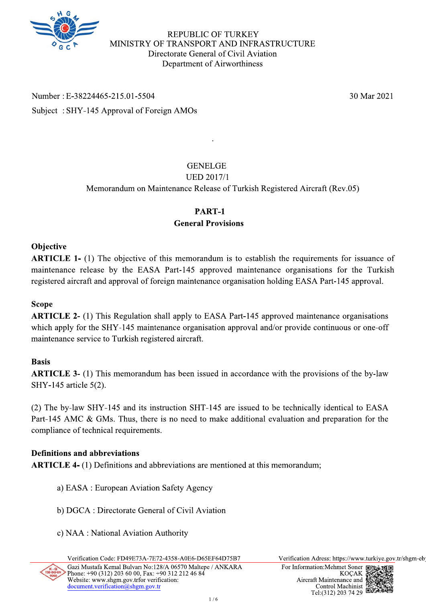

**REPUBLIC OF TURKEY** MINISTRY OF TRANSPORT AND INFRASTRUCTURE Directorate General of Civil Aviation Department of Airworthiness

Number: E-38224465-215.01-5504 Subject: SHY-145 Approval of Foreign AMOs

**GENELGE** 

# **UED 2017/1**

Memorandum on Maintenance Release of Turkish Registered Aircraft (Rev.05)

# PART-1 **General Provisions**

# **Objective**

**ARTICLE 1-** (1) The objective of this memorandum is to establish the requirements for issuance of maintenance release by the EASA Part-145 approved maintenance organisations for the Turkish registered aircraft and approval of foreign maintenance organisation holding EASA Part-145 approval.

# **Scope**

**ARTICLE 2-** (1) This Regulation shall apply to EASA Part-145 approved maintenance organisations which apply for the SHY-145 maintenance organisation approval and/or provide continuous or one-off maintenance service to Turkish registered aircraft.

#### **Basis**

**ARTICLE 3-** (1) This memorandum has been issued in accordance with the provisions of the by-law SHY-145 article 5(2).

(2) The by-law SHY-145 and its instruction SHT-145 are issued to be technically identical to EASA Part-145 AMC & GMs. Thus, there is no need to make additional evaluation and preparation for the compliance of technical requirements.

# **Definitions and abbreviations**

**ARTICLE 4-** (1) Definitions and abbreviations are mentioned at this memorandum;

- a) EASA : European Aviation Safety Agency
- b) DGCA : Directorate General of Civil Aviation
- c) NAA : National Aviation Authority

Verification Code: FD49E73A-7E72-4358-A0E6-D65EF64D75B7 Gazi Mustafa Kemal Bulvarı No:128/A 06570 Maltepe / ANKARA Phone: +90 (312) 203 60 00, Fax: +90 312 212 46 84

Verification Adress: https://www.turkiye.gov.tr/shgm-eb



30 Mar 2021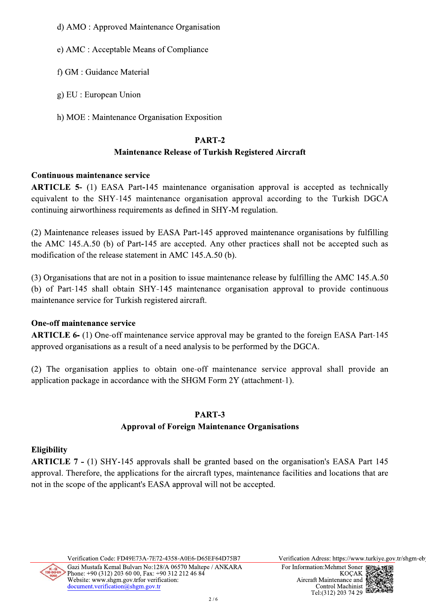- d) AMO : Approved Maintenance Organisation
- e) AMC : Acceptable Means of Compliance
	- f) GM : Guidance Material
	- g) EU : European Union
- h) MOE : Maintenance Organisation Exposition  $\mathbf n$

# **PART-2**

f) GM : Guidance Material<br>
g) EU : European Union<br>
h) MOE : Maintenance Organisation Exposition<br> **PART-2**<br> **Maintenance Release of Turkish Registered Aircraft**<br> **orion PART-2**<br> **Maintenance Release of Turkish Registered Ai**  $\bf{AKTICLE}$  5- (1) EASA Part-145 maintenance organisation approval is accepted as technically equivalent to the SHY-145 maintenance organisation approval according to the Turkish DGCA continuing airworthiness requirements as defined in SHY-M regulation.

g) EU : European Union<br>
h) MOE : Maintenance Organisation Exposition<br> **PART-2**<br> **Maintenance Release of Turkis**<br> **Continuous maintenance service**<br> **ARTICLE 5-** (1) EASA Part-145 maintenance organisation<br>
equivalent to the (2) Maintenance releases issued by EASA Part-145 approved maintenance organisations by fulfilling the AMC 145.A.50 (b) of Part-145 are accepted. Any other practices shall not be accepted such as modification of the release statement in  $\text{AMC}_14$ 5.A.50 (b).

 $(3)$  Organisations that are not in a position to issue maintenance release by fulfilling the AMC 145.A.50 (b) of Part-145 shall obtain  $SHY-145$  maintenance organisation approval to provide continuous maintenance service for Turkish registered aircraft. the AMC 145.A.50 (b) of Part-145 are accepted.<br>
modification of the release statement in AMC 145.A<br>
(3) Organisations that are not in a position to issue n<br>
(b) of Part-145 shall obtain SHY-145 maintenant<br>
maintenance serv

 $\bf ARTICLE$  6- (1) One-off maintenance service approval may be granted to the foreign EASA Part-145 approved organisations as a result of a need analysis to be performed by the DGCA.

 $(2)$  The organisation applies to obtain one-off maintenance service approval shall provide an application package in accordance with the SHGM Form  $2Y$  (attachment-1).

# **PART-3**

ons as a result of a need analysis to be performed by the DGCA.<br>
ion applies to obtain one-off maintenance service approval shall provic<br>
in accordance with the SHGM Form 2Y (attachment-1).<br> **PART-3**<br> **Approval of Foreign** (2) The organisation applies<br>application package in accordance<br>Approval.<br> $\blacksquare$  ARTICLE 7 - (1) SHY-145 approval. Therefore, the applicant's<br>not in the scope of the applicant's ARTICLE  $7 - (1)$  SHY-145 approvals shall be granted based on the organisation's EASA Part 145 approval. Therefore, the applications for the aircraft types, maintenance facilities and locations that are not in the scope of the applicant's EASA approval will not be accepted.



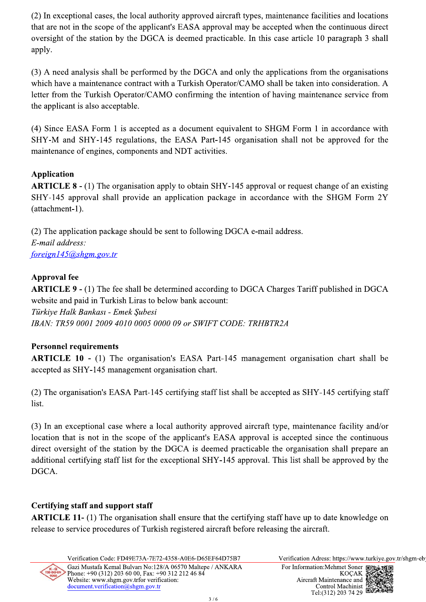(2) In exceptional cases, the local authority approved aircraft types, maintenance facilities and locations that are not in the scope of the applicant's EASA approval may be accepted when the continuous direct oversight of the station by the DGCA is deemed practicable. In this case article 10 paragraph 3 shall apply.

(3) A need analysis shall be performed by the DGCA and only the applications from the organisations which have a maintenance contract with a Turkish Operator/CAMO shall be taken into consideration. A letter from the Turkish Operator/CAMO confirming the intention of having maintenance service from the applicant is also acceptable.

(4) Since EASA Form 1 is accepted as a document equivalent to SHGM Form 1 in accordance with SHY-M and SHY-145 regulations, the EASA Part-145 organisation shall not be approved for the maintenance of engines, components and NDT activities.

# **Application**

**ARTICLE 8 - (1)** The organisation apply to obtain SHY-145 approval or request change of an existing SHY-145 approval shall provide an application package in accordance with the SHGM Form 2Y (attachment-1).

(2) The application package should be sent to following DGCA e-mail address. E-mail address:  $foreign145@shgm.gov.tr$ 

# **Approval fee**

**ARTICLE 9 - (1)** The fee shall be determined according to DGCA Charges Tariff published in DGCA website and paid in Turkish Liras to below bank account: Türkiye Halk Bankası - Emek Subesi IBAN: TR59 0001 2009 4010 0005 0000 09 or SWIFT CODE: TRHBTR2A

# **Personnel requirements**

**ARTICLE 10 -** (1) The organisation's EASA Part-145 management organisation chart shall be accepted as SHY-145 management organisation chart.

(2) The organisation's EASA Part-145 certifying staff list shall be accepted as SHY-145 certifying staff list.

(3) In an exceptional case where a local authority approved aircraft type, maintenance facility and/or location that is not in the scope of the applicant's EASA approval is accepted since the continuous direct oversight of the station by the DGCA is deemed practicable the organisation shall prepare an additional certifying staff list for the exceptional SHY-145 approval. This list shall be approved by the DGCA.

# **Certifying staff and support staff**

**ARTICLE 11-** (1) The organisation shall ensure that the certifying staff have up to date knowledge on release to service procedures of Turkish registered aircraft before releasing the aircraft.

Verification Code: FD49E73A-7E72-4358-A0E6-D65EF64D75B7 Gazi Mustafa Kemal Bulvarı No:128/A 06570 Maltepe / ANKARA Phone: +90 (312) 203 60 00, Fax: +90 312 212 46 84 Website: www.shgm.gov.trfor verification: document.verification@shgm.gov.tr

Verification Adress: https://www.turkiye.gov.tr/shgm-eb

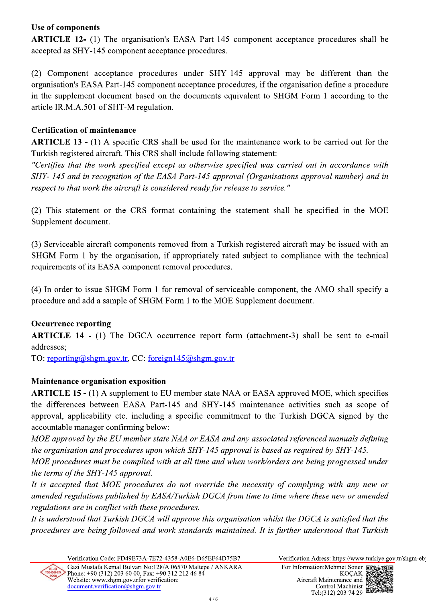# Use of components

**ARTICLE 12-** (1) The organisation's EASA Part-145 component acceptance procedures shall be accepted as SHY-145 component acceptance procedures.

(2) Component acceptance procedures under SHY-145 approval may be different than the organisation's EASA Part-145 component acceptance procedures, if the organisation define a procedure in the supplement document based on the documents equivalent to SHGM Form 1 according to the article IR.M.A.501 of SHT-M regulation.

# **Certification of maintenance**

**ARTICLE 13 - (1)** A specific CRS shall be used for the maintenance work to be carried out for the Turkish registered aircraft. This CRS shall include following statement:

"Certifies that the work specified except as otherwise specified was carried out in accordance with SHY-145 and in recognition of the EASA Part-145 approval (Organisations approval number) and in respect to that work the aircraft is considered ready for release to service."

(2) This statement or the CRS format containing the statement shall be specified in the MOE Supplement document.

(3) Serviceable aircraft components removed from a Turkish registered aircraft may be issued with an SHGM Form 1 by the organisation, if appropriately rated subject to compliance with the technical requirements of its EASA component removal procedures.

(4) In order to issue SHGM Form 1 for removal of serviceable component, the AMO shall specify a procedure and add a sample of SHGM Form 1 to the MOE Supplement document.

# **Occurrence reporting**

**ARTICLE 14 -** (1) The DGCA occurrence report form (attachment-3) shall be sent to e-mail addresses:

TO: reporting@shgm.gov.tr, CC: foreign145@shgm.gov.tr

# **Maintenance organisation exposition**

**ARTICLE 15 - (1)** A supplement to EU member state NAA or EASA approved MOE, which specifies the differences between EASA Part-145 and SHY-145 maintenance activities such as scope of approval, applicability etc. including a specific commitment to the Turkish DGCA signed by the accountable manager confirming below:

MOE approved by the EU member state NAA or EASA and any associated referenced manuals defining the organisation and procedures upon which SHY-145 approval is based as required by SHY-145.

MOE procedures must be complied with at all time and when work/orders are being progressed under the terms of the SHY-145 approval.

It is accepted that MOE procedures do not override the necessity of complying with any new or amended regulations published by EASA/Turkish DGCA from time to time where these new or amended regulations are in conflict with these procedures.

It is understood that Turkish DGCA will approve this organisation whilst the DGCA is satisfied that the procedures are being followed and work standards maintained. It is further understood that Turkish

> Verification Code: FD49E73A-7E72-4358-A0E6-D65EF64D75B7 Gazi Mustafa Kemal Bulvarı No:128/A 06570 Maltepe / ANKARA

Verification Adress: https://www.turkiye.gov.tr/shgm-eb

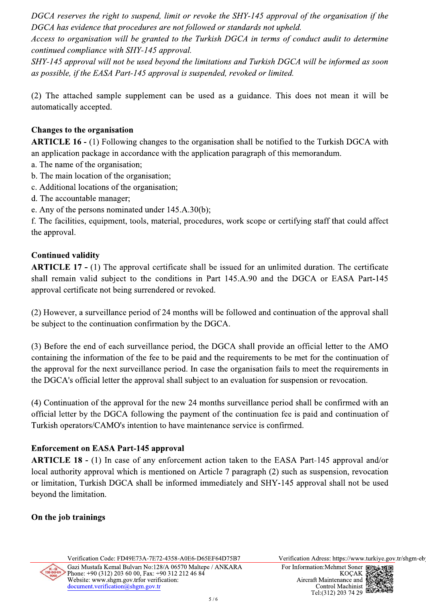DGCA reserves the right to suspend, limit or revoke the SHY-145 approval of the organisation if the DGCA has evidence that procedures are not followed or standards not upheld.

Access to organisation will be granted to the Turkish DGCA in terms of conduct audit to determine continued compliance with SHY-145 approval.

SHY-145 approval will not be used beyond the limitations and Turkish DGCA will be informed as soon as possible, if the EASA Part-145 approval is suspended, revoked or limited.

(2) The attached sample supplement can be used as a guidance. This does not mean it will be automatically accepted.

#### **Changes to the organisation**

**ARTICLE 16 -** (1) Following changes to the organisation shall be notified to the Turkish DGCA with an application package in accordance with the application paragraph of this memorandum.

- a. The name of the organisation;
- b. The main location of the organisation;
- c. Additional locations of the organisation;
- d. The accountable manager;
- e. Any of the persons nominated under 145.A.30(b);

f. The facilities, equipment, tools, material, procedures, work scope or certifying staff that could affect the approval.

# **Continued validity**

**ARTICLE 17 - (1)** The approval certificate shall be issued for an unlimited duration. The certificate shall remain valid subject to the conditions in Part 145.A.90 and the DGCA or EASA Part-145 approval certificate not being surrendered or revoked.

(2) However, a surveillance period of 24 months will be followed and continuation of the approval shall be subject to the continuation confirmation by the DGCA.

(3) Before the end of each surveillance period, the DGCA shall provide an official letter to the AMO containing the information of the fee to be paid and the requirements to be met for the continuation of the approval for the next surveillance period. In case the organisation fails to meet the requirements in the DGCA's official letter the approval shall subject to an evaluation for suspension or revocation.

(4) Continuation of the approval for the new 24 months surveillance period shall be confirmed with an official letter by the DGCA following the payment of the continuation fee is paid and continuation of Turkish operators/CAMO's intention to have maintenance service is confirmed.

# **Enforcement on EASA Part-145 approval**

ARTICLE 18 - (1) In case of any enforcement action taken to the EASA Part-145 approval and/or local authority approval which is mentioned on Article 7 paragraph (2) such as suspension, revocation or limitation, Turkish DGCA shall be informed immediately and SHY-145 approval shall not be used beyond the limitation.

# On the job trainings

Verification Code: FD49E73A-7E72-4358-A0E6-D65EF64D75B7 Gazi Mustafa Kemal Bulvarı No:128/A 06570 Maltepe / ANKARA Phone: +90 (312) 203 60 00, Fax: +90 312 212 46 84 Website: www.shgm.gov.trfor verification: document.verification@shgm.gov.tr

Verification Adress: https://www.turkiye.gov.tr/shgm-eb